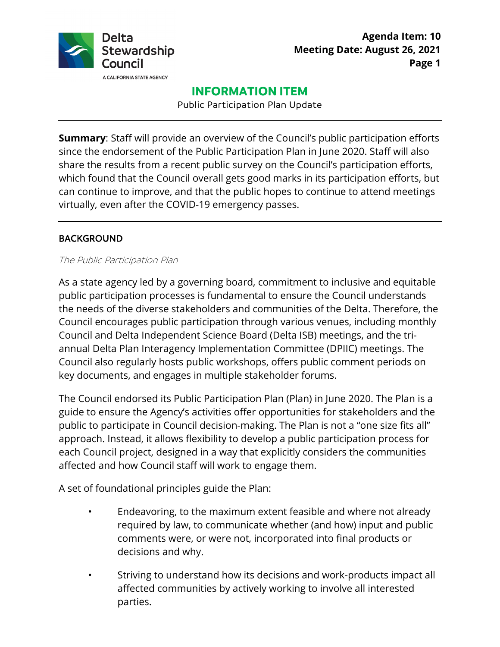

# **INFORMATION ITEM**

Public Participation Plan Update

**Summary**: Staff will provide an overview of the Council's public participation efforts since the endorsement of the Public Participation Plan in June 2020. Staff will also share the results from a recent public survey on the Council's participation efforts, which found that the Council overall gets good marks in its participation efforts, but can continue to improve, and that the public hopes to continue to attend meetings virtually, even after the COVID-19 emergency passes.

### BACKGROUND

#### The Public Participation Plan

As a state agency led by a governing board, commitment to inclusive and equitable public participation processes is fundamental to ensure the Council understands the needs of the diverse stakeholders and communities of the Delta. Therefore, the Council encourages public participation through various venues, including monthly Council and Delta Independent Science Board (Delta ISB) meetings, and the triannual Delta Plan Interagency Implementation Committee (DPIIC) meetings. The Council also regularly hosts public workshops, offers public comment periods on key documents, and engages in multiple stakeholder forums.

The Council endorsed its Public Participation Plan (Plan) in June 2020. The Plan is a guide to ensure the Agency's activities offer opportunities for stakeholders and the public to participate in Council decision-making. The Plan is not a "one size fits all" approach. Instead, it allows flexibility to develop a public participation process for each Council project, designed in a way that explicitly considers the communities affected and how Council staff will work to engage them.

A set of foundational principles guide the Plan:

- required by law, to communicate whether (and how) input and public • Endeavoring, to the maximum extent feasible and where not already comments were, or were not, incorporated into final products or decisions and why.
- Striving to understand how its decisions and work-products impact all affected communities by actively working to involve all interested parties.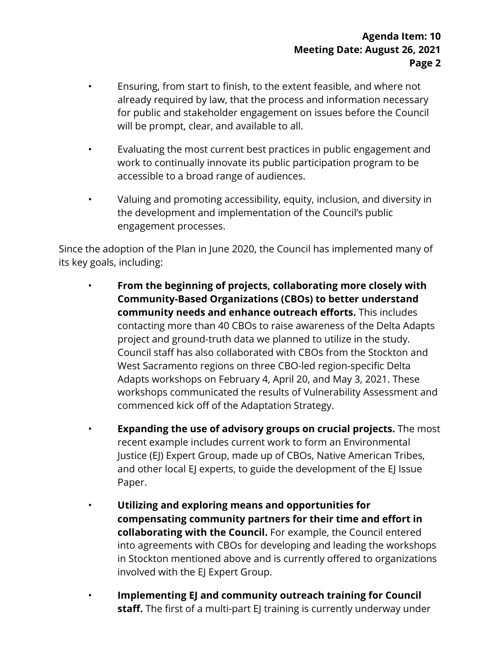- already required by law, that the process and information necessary • Ensuring, from start to finish, to the extent feasible, and where not for public and stakeholder engagement on issues before the Council will be prompt, clear, and available to all.
- Evaluating the most current best practices in public engagement and work to continually innovate its public participation program to be accessible to a broad range of audiences.
- Valuing and promoting accessibility, equity, inclusion, and diversity in the development and implementation of the Council's public engagement processes.

 Since the adoption of the Plan in June 2020, the Council has implemented many of its key goals, including:

- **From the beginning of projects, collaborating more closely with Community-Based Organizations (CBOs) to better understand** West Sacramento regions on three CBO-led region-specific Delta **community needs and enhance outreach efforts.** This includes contacting more than 40 CBOs to raise awareness of the Delta Adapts project and ground-truth data we planned to utilize in the study. Council staff has also collaborated with CBOs from the Stockton and Adapts workshops on February 4, April 20, and May 3, 2021. These workshops communicated the results of Vulnerability Assessment and commenced kick off of the Adaptation Strategy.
- **Expanding the use of advisory groups on crucial projects.** The most recent example includes current work to form an Environmental Justice (EJ) Expert Group, made up of CBOs, Native American Tribes, and other local EJ experts, to guide the development of the EJ Issue Paper.
- **compensating community partners for their time and effort in** • **Utilizing and exploring means and opportunities for collaborating with the Council.** For example, the Council entered into agreements with CBOs for developing and leading the workshops in Stockton mentioned above and is currently offered to organizations involved with the EJ Expert Group.
- **Implementing EJ and community outreach training for Council staff.** The first of a multi-part EJ training is currently underway under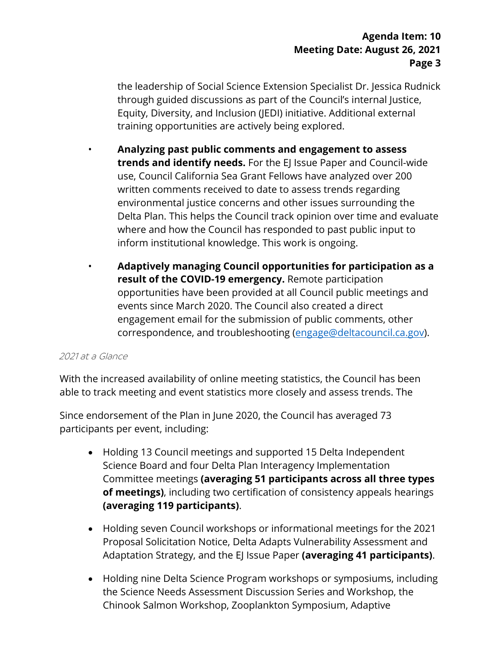the leadership of Social Science Extension Specialist Dr. Jessica Rudnick through guided discussions as part of the Council's internal Justice, Equity, Diversity, and Inclusion (JEDI) initiative. Additional external training opportunities are actively being explored.

- environmental justice concerns and other issues surrounding the • **Analyzing past public comments and engagement to assess trends and identify needs.** For the EJ Issue Paper and Council-wide use, Council California Sea Grant Fellows have analyzed over 200 written comments received to date to assess trends regarding Delta Plan. This helps the Council track opinion over time and evaluate where and how the Council has responded to past public input to inform institutional knowledge. This work is ongoing.
- **Adaptively managing Council opportunities for participation as a result of the COVID-19 emergency.** Remote participation opportunities have been provided at all Council public meetings and events since March 2020. The Council also created a direct engagement email for the submission of public comments, other correspondence, and troubleshooting ([engage@deltacouncil.ca.gov\)](mailto:engage@deltacouncil.ca.gov).

#### 2021 at a Glance

With the increased availability of online meeting statistics, the Council has been able to track meeting and event statistics more closely and assess trends. The

Since endorsement of the Plan in June 2020, the Council has averaged 73 participants per event, including:

- • Holding 13 Council meetings and supported 15 Delta Independent Science Board and four Delta Plan Interagency Implementation Committee meetings **(averaging 51 participants across all three types of meetings)**, including two certification of consistency appeals hearings **(averaging 119 participants)**.
- Holding seven Council workshops or informational meetings for the 2021 Proposal Solicitation Notice, Delta Adapts Vulnerability Assessment and Adaptation Strategy, and the EJ Issue Paper **(averaging 41 participants)**.
- the Science Needs Assessment Discussion Series and Workshop, the • Holding nine Delta Science Program workshops or symposiums, including Chinook Salmon Workshop, Zooplankton Symposium, Adaptive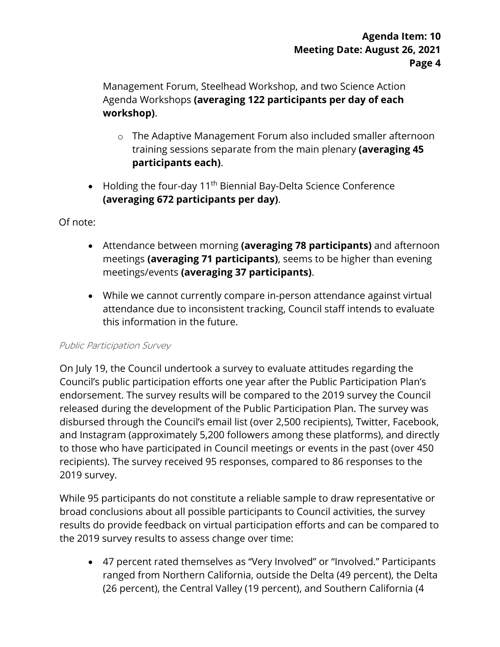Management Forum, Steelhead Workshop, and two Science Action Agenda Workshops **(averaging 122 participants per day of each workshop)**.

- o The Adaptive Management Forum also included smaller afternoon training sessions separate from the main plenary **(averaging 45 participants each)**.
- Holding the four-day  $11<sup>th</sup>$  Biennial Bay-Delta Science Conference **(averaging 672 participants per day)**.

Of note:

- • Attendance between morning **(averaging 78 participants)** and afternoon meetings **(averaging 71 participants)**, seems to be higher than evening meetings/events **(averaging 37 participants)**.
- attendance due to inconsistent tracking, Council staff intends to evaluate • While we cannot currently compare in-person attendance against virtual this information in the future.

#### Public Participation Survey

 endorsement. The survey results will be compared to the 2019 survey the Council and Instagram (approximately 5,200 followers among these platforms), and directly recipients). The survey received 95 responses, compared to 86 responses to the On July 19, the Council undertook a survey to evaluate attitudes regarding the Council's public participation efforts one year after the Public Participation Plan's released during the development of the Public Participation Plan. The survey was disbursed through the Council's email list (over 2,500 recipients), Twitter, Facebook, to those who have participated in Council meetings or events in the past (over 450 2019 survey.

 the 2019 survey results to assess change over time: While 95 participants do not constitute a reliable sample to draw representative or broad conclusions about all possible participants to Council activities, the survey results do provide feedback on virtual participation efforts and can be compared to

• 47 percent rated themselves as "Very Involved" or "Involved." Participants ranged from Northern California, outside the Delta (49 percent), the Delta (26 percent), the Central Valley (19 percent), and Southern California (4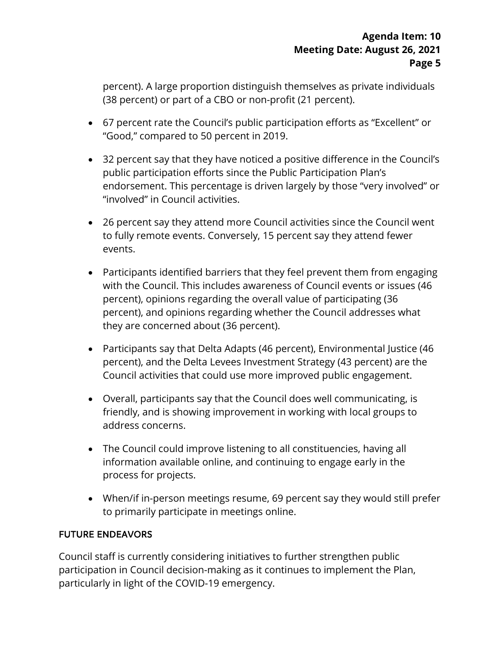(38 percent) or part of a CBO or non-profit (21 percent). percent). A large proportion distinguish themselves as private individuals

- 67 percent rate the Council's public participation efforts as "Excellent" or "Good," compared to 50 percent in 2019.
- • 32 percent say that they have noticed a positive difference in the Council's endorsement. This percentage is driven largely by those "very involved" or public participation efforts since the Public Participation Plan's "involved" in Council activities.
- 26 percent say they attend more Council activities since the Council went to fully remote events. Conversely, 15 percent say they attend fewer events.
- with the Council. This includes awareness of Council events or issues (46 they are concerned about (36 percent). • Participants identified barriers that they feel prevent them from engaging percent), opinions regarding the overall value of participating (36 percent), and opinions regarding whether the Council addresses what
- percent), and the Delta Levees Investment Strategy (43 percent) are the • Participants say that Delta Adapts (46 percent), Environmental Justice (46 Council activities that could use more improved public engagement.
- address concerns. • Overall, participants say that the Council does well communicating, is friendly, and is showing improvement in working with local groups to
- information available online, and continuing to engage early in the • The Council could improve listening to all constituencies, having all process for projects.
- When/if in-person meetings resume, 69 percent say they would still prefer to primarily participate in meetings online.

### FUTURE ENDEAVORS

Council staff is currently considering initiatives to further strengthen public participation in Council decision-making as it continues to implement the Plan, particularly in light of the COVID-19 emergency.